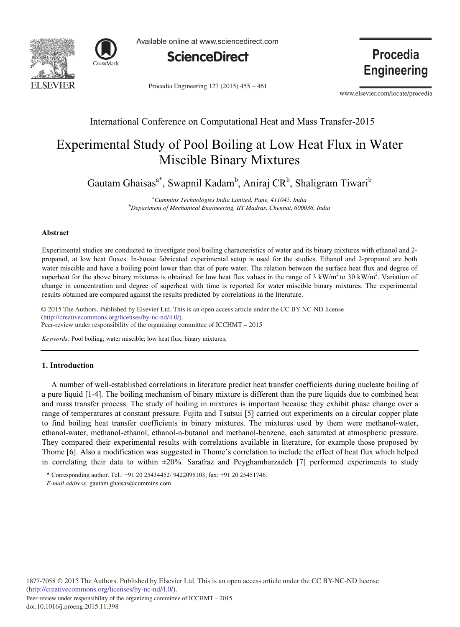



Available online at www.sciencedirect.com



Procedia Engineering 127 (2015) 455 - 461

**Procedia Engineering** 

www.elsevier.com/locate/procedia

# International Conference on Computational Heat and Mass Transfer-2015

# Experimental Study of Pool Boiling at Low Heat Flux in Water Miscible Binary Mixtures

Gautam Ghaisas<sup>a\*</sup>, Swapnil Kadam<sup>b</sup>, Aniraj CR<sup>b</sup>, Shaligram Tiwari<sup>b</sup>

*a Cummins Technologies India Limited, Pune, 411045, India b Department of Mechanical Engineering, IIT Madras, Chennai, 600036, India* 

#### **Abstract**

Experimental studies are conducted to investigate pool boiling characteristics of water and its binary mixtures with ethanol and 2 propanol, at low heat fluxes. In-house fabricated experimental setup is used for the studies. Ethanol and 2-propanol are both water miscible and have a boiling point lower than that of pure water. The relation between the surface heat flux and degree of superheat for the above binary mixtures is obtained for low heat flux values in the range of  $3 \text{ kW/m}^2$  to  $30 \text{ kW/m}^2$ . Variation of change in concentration and degree of superheat with time is reported for water miscible binary mixtures. The experimental results obtained are compared against the results predicted by correlations in the literature.

© 2015 The Authors. Published by Elsevier B.V. (http://creativecommons.org/licenses/by-nc-nd/4.0/). Peer-review under responsibility of the organizing committee of ICCHMT – 2015. Peer-review under responsibility of the organizing committee of ICCHMT – 2015© 2015 The Authors. Published by Elsevier Ltd. This is an open access article under the CC BY-NC-ND license

*Keywords:* Pool boiling; water miscible; low heat flux; binary mixtures;

## **1. Introduction**

A number of well-established correlations in literature predict heat transfer coefficients during nucleate boiling of a pure liquid [1-4]. The boiling mechanism of binary mixture is different than the pure liquids due to combined heat and mass transfer process. The study of boiling in mixtures is important because they exhibit phase change over a range of temperatures at constant pressure. Fujita and Tsutsui [5] carried out experiments on a circular copper plate to find boiling heat transfer coefficients in binary mixtures. The mixtures used by them were methanol-water, ethanol-water, methanol-ethanol, ethanol-n-butanol and methanol-benzene, each saturated at atmospheric pressure. They compared their experimental results with correlations available in literature, for example those proposed by Thome [6]. Also a modification was suggested in Thome's correlation to include the effect of heat flux which helped in correlating their data to within  $\pm 20\%$ . Sarafraz and Peyghambarzadeh [7] performed experiments to study

\* Corresponding author. Tel.: +91 20 25434452/ 9422095103; fax: +91 20 25451746.

*E-mail address:* gautam.ghaisas@cummins.com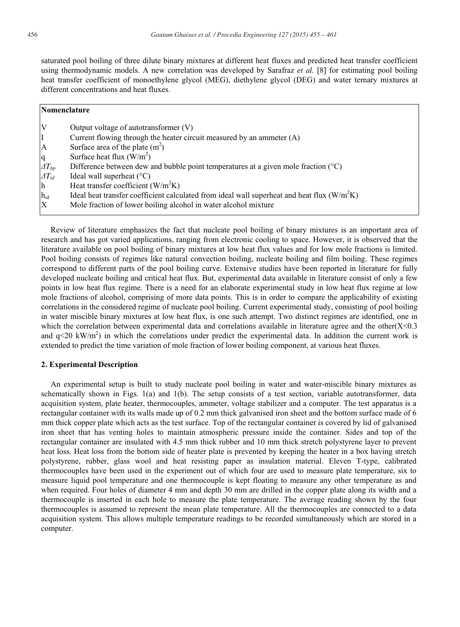saturated pool boiling of three dilute binary mixtures at different heat fluxes and predicted heat transfer coefficient using thermodynamic models. A new correlation was developed by Sarafraz *et al.* [8] for estimating pool boiling heat transfer coefficient of monoethylene glycol (MEG), diethylene glycol (DEG) and water ternary mixtures at different concentrations and heat fluxes.

| Nomenclature       |                                                                                               |
|--------------------|-----------------------------------------------------------------------------------------------|
| IV                 | Output voltage of autotransformer $(V)$                                                       |
| I                  | Current flowing through the heater circuit measured by an ammeter $(A)$                       |
| <sup>A</sup>       | Surface area of the plate $(m2)$                                                              |
| q                  | Surface heat flux $(W/m^2)$                                                                   |
| $\varDelta T_{bp}$ | Difference between dew and bubble point temperatures at a given mole fraction $({}^{\circ}C)$ |
| $\varDelta T_{id}$ | Ideal wall superheat $(^{\circ}C)$                                                            |
| h                  | Heat transfer coefficient $(W/m2K)$                                                           |
| $h_{id}$           | Ideal heat transfer coefficient calculated from ideal wall superheat and heat flux $(W/m2K)$  |
| $\mathbf{X}$       | Mole fraction of lower boiling alcohol in water alcohol mixture                               |

Review of literature emphasizes the fact that nucleate pool boiling of binary mixtures is an important area of research and has got varied applications, ranging from electronic cooling to space. However, it is observed that the literature available on pool boiling of binary mixtures at low heat flux values and for low mole fractions is limited. Pool boiling consists of regimes like natural convection boiling, nucleate boiling and film boiling. These regimes correspond to different parts of the pool boiling curve. Extensive studies have been reported in literature for fully developed nucleate boiling and critical heat flux. But, experimental data available in literature consist of only a few points in low heat flux regime. There is a need for an elaborate experimental study in low heat flux regime at low mole fractions of alcohol, comprising of more data points. This is in order to compare the applicability of existing correlations in the considered regime of nucleate pool boiling. Current experimental study, consisting of pool boiling in water miscible binary mixtures at low heat flux, is one such attempt. Two distinct regimes are identified, one in which the correlation between experimental data and correlations available in literature agree and the other $(X<0.3$ and  $q<20$  kW/m<sup>2</sup>) in which the correlations under predict the experimental data. In addition the current work is extended to predict the time variation of mole fraction of lower boiling component, at various heat fluxes.

#### **2. Experimental Description**

An experimental setup is built to study nucleate pool boiling in water and water-miscible binary mixtures as schematically shown in Figs. 1(a) and 1(b). The setup consists of a test section, variable autotransformer, data acquisition system, plate heater, thermocouples, ammeter, voltage stabilizer and a computer. The test apparatus is a rectangular container with its walls made up of 0.2 mm thick galvanised iron sheet and the bottom surface made of 6 mm thick copper plate which acts as the test surface. Top of the rectangular container is covered by lid of galvanised iron sheet that has venting holes to maintain atmospheric pressure inside the container. Sides and top of the rectangular container are insulated with 4.5 mm thick rubber and 10 mm thick stretch polystyrene layer to prevent heat loss. Heat loss from the bottom side of heater plate is prevented by keeping the heater in a box having stretch polystyrene, rubber, glass wool and heat resisting paper as insulation material. Eleven T-type, calibrated thermocouples have been used in the experiment out of which four are used to measure plate temperature, six to measure liquid pool temperature and one thermocouple is kept floating to measure any other temperature as and when required. Four holes of diameter 4 mm and depth 30 mm are drilled in the copper plate along its width and a thermocouple is inserted in each hole to measure the plate temperature. The average reading shown by the four thermocouples is assumed to represent the mean plate temperature. All the thermocouples are connected to a data acquisition system. This allows multiple temperature readings to be recorded simultaneously which are stored in a computer.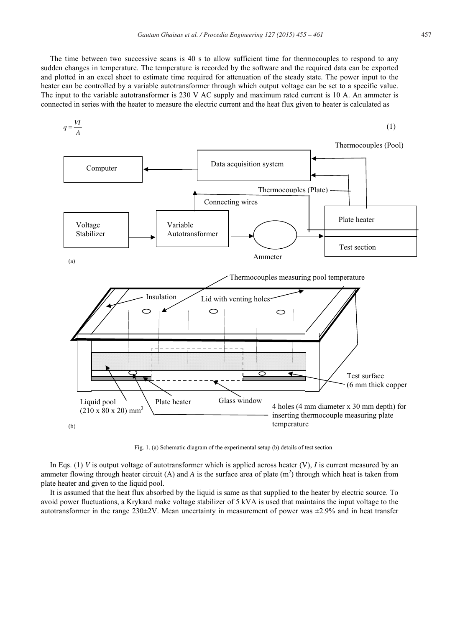The time between two successive scans is 40 s to allow sufficient time for thermocouples to respond to any sudden changes in temperature. The temperature is recorded by the software and the required data can be exported and plotted in an excel sheet to estimate time required for attenuation of the steady state. The power input to the heater can be controlled by a variable autotransformer through which output voltage can be set to a specific value. The input to the variable autotransformer is 230 V AC supply and maximum rated current is 10 A. An ammeter is connected in series with the heater to measure the electric current and the heat flux given to heater is calculated as



Fig. 1. (a) Schematic diagram of the experimental setup (b) details of test section

In Eqs. (1) *V* is output voltage of autotransformer which is applied across heater (V), *I* is current measured by an ammeter flowing through heater circuit (A) and  $A$  is the surface area of plate  $(m^2)$  through which heat is taken from plate heater and given to the liquid pool.

It is assumed that the heat flux absorbed by the liquid is same as that supplied to the heater by electric source. To avoid power fluctuations, a Krykard make voltage stabilizer of 5 kVA is used that maintains the input voltage to the autotransformer in the range  $230\pm2V$ . Mean uncertainty in measurement of power was  $\pm 2.9\%$  and in heat transfer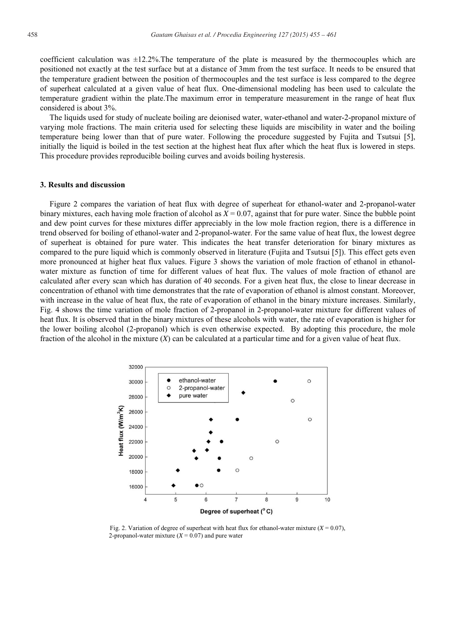coefficient calculation was  $\pm 12.2\%$ . The temperature of the plate is measured by the thermocouples which are positioned not exactly at the test surface but at a distance of 3mm from the test surface. It needs to be ensured that the temperature gradient between the position of thermocouples and the test surface is less compared to the degree of superheat calculated at a given value of heat flux. One-dimensional modeling has been used to calculate the temperature gradient within the plate.The maximum error in temperature measurement in the range of heat flux considered is about 3%.

The liquids used for study of nucleate boiling are deionised water, water-ethanol and water-2-propanol mixture of varying mole fractions. The main criteria used for selecting these liquids are miscibility in water and the boiling temperature being lower than that of pure water. Following the procedure suggested by Fujita and Tsutsui [5], initially the liquid is boiled in the test section at the highest heat flux after which the heat flux is lowered in steps. This procedure provides reproducible boiling curves and avoids boiling hysteresis.

## **3. Results and discussion**

Figure 2 compares the variation of heat flux with degree of superheat for ethanol-water and 2-propanol-water binary mixtures, each having mole fraction of alcohol as  $X = 0.07$ , against that for pure water. Since the bubble point and dew point curves for these mixtures differ appreciably in the low mole fraction region, there is a difference in trend observed for boiling of ethanol-water and 2-propanol-water. For the same value of heat flux, the lowest degree of superheat is obtained for pure water. This indicates the heat transfer deterioration for binary mixtures as compared to the pure liquid which is commonly observed in literature (Fujita and Tsutsui [5]). This effect gets even more pronounced at higher heat flux values. Figure 3 shows the variation of mole fraction of ethanol in ethanolwater mixture as function of time for different values of heat flux. The values of mole fraction of ethanol are calculated after every scan which has duration of 40 seconds. For a given heat flux, the close to linear decrease in concentration of ethanol with time demonstrates that the rate of evaporation of ethanol is almost constant. Moreover, with increase in the value of heat flux, the rate of evaporation of ethanol in the binary mixture increases. Similarly, Fig. 4 shows the time variation of mole fraction of 2-propanol in 2-propanol-water mixture for different values of heat flux. It is observed that in the binary mixtures of these alcohols with water, the rate of evaporation is higher for the lower boiling alcohol (2-propanol) which is even otherwise expected. By adopting this procedure, the mole fraction of the alcohol in the mixture (*X*) can be calculated at a particular time and for a given value of heat flux.



Fig. 2. Variation of degree of superheat with heat flux for ethanol-water mixture  $(X = 0.07)$ , 2-propanol-water mixture  $(X = 0.07)$  and pure water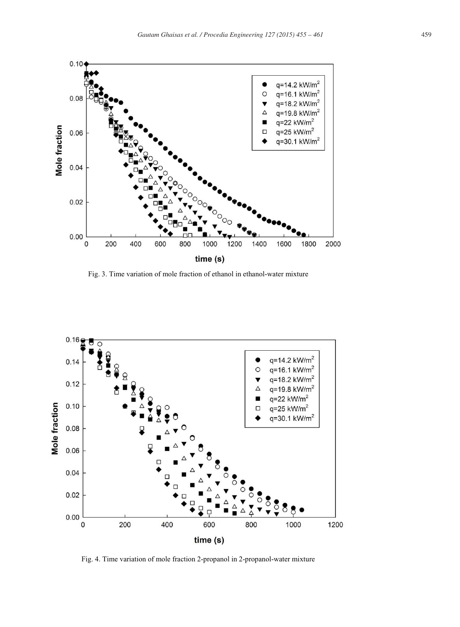

Fig. 3. Time variation of mole fraction of ethanol in ethanol-water mixture



Fig. 4. Time variation of mole fraction 2-propanol in 2-propanol-water mixture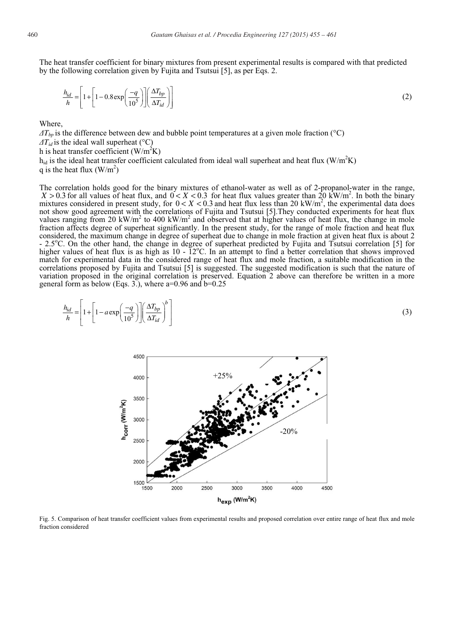The heat transfer coefficient for binary mixtures from present experimental results is compared with that predicted by the following correlation given by Fujita and Tsutsui [5], as per Eqs. 2.

$$
\frac{h_{id}}{h} = \left[1 + \left[1 - 0.8 \exp\left(\frac{-q}{10^5}\right)\right] \left(\frac{\Delta T_{bp}}{\Delta T_{id}}\right)\right]
$$
\n(2)

**Where** 

 $\Delta T_{bn}$  is the difference between dew and bubble point temperatures at a given mole fraction ( $^{\circ}$ C)

 $\Delta T_{id}$  is the ideal wall superheat (°C)

h is heat transfer coefficient  $(W/m^2K)$ 

 $h_{id}$  is the ideal heat transfer coefficient calculated from ideal wall superheat and heat flux (W/m<sup>2</sup>K) q is the heat flux  $(W/m^2)$ 

The correlation holds good for the binary mixtures of ethanol-water as well as of 2-propanol-water in the range,  $X > 0.3$  for all values of heat flux, and  $0 < X < 0.3$  for heat flux values greater than 20 kW/m<sup>2</sup>. In both t mixtures considered in present study, for  $0 < X < 0.3$  and heat flux less than 20 kW/m<sup>2</sup>, the experimental data does not show good agreement with the correlations of Fujita and Tsutsui [5].They conducted experiments for heat flux values ranging from 20 kW/m<sup>2</sup> to 400 kW/m<sup>2</sup> and observed that at higher values of heat flux, the change in mole fraction affects degree of superheat significantly. In the present study, for the range of mole fraction and heat flux considered, the maximum change in degree of superheat due to change in mole fraction at given heat flux is about 2 - 2.5°C. On the other hand, the change in degree of superheat predicted by Fujita and Tsutsui correlation [5] for higher values of heat flux is as high as  $10 - \tilde{1}2^{\circ}C$ . In an attempt to find a better correlation that shows improved match for experimental data in the considered range of heat flux and mole fraction, a suitable modification in the correlations proposed by Fujita and Tsutsui [5] is suggested. The suggested modification is such that the nature of variation proposed in the original correlation is preserved. Equation 2 above can therefore be written in a more general form as below (Eqs. 3.), where  $a=0.96$  and  $b=0.25$ 

$$
\frac{h_{id}}{h} = \left[1 + \left[1 - a \exp\left(\frac{-q}{10^5}\right)\right] \left(\frac{\Delta T_{bp}}{\Delta T_{id}}\right)^b\right]
$$
\n(3)



Fig. 5. Comparison of heat transfer coefficient values from experimental results and proposed correlation over entire range of heat flux and mole fraction considered